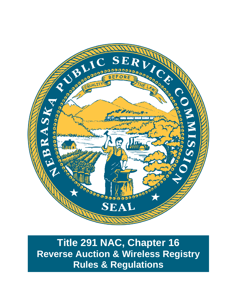

**Title 291 NAC, Chapter 16 Reverse Auction & Wireless Registry Rules & Regulations**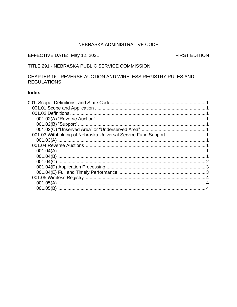### NEBRASKA ADMINISTRATIVE CODE

## EFFECTIVE DATE: May 12, 2021

**FIRST EDITION** 

## TITLE 291 - NEBRASKA PUBLIC SERVICE COMMISSION

## CHAPTER 16 - REVERSE AUCTION AND WIRELESS REGISTRY RULES AND **REGULATIONS**

# **Index**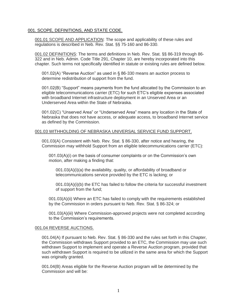### <span id="page-2-0"></span>001. SCOPE, DEFINITIONS, AND STATE CODE.

<span id="page-2-1"></span>001.01 SCOPE AND APPLICATION: The scope and applicability of these rules and regulations is described in Neb. Rev. Stat. §§ 75-160 and 86-330.

<span id="page-2-2"></span>001.02 DEFINITIONS: The terms and definitions in Neb. Rev. Stat. §§ 86-319 through 86- 322 and in Neb. Admin. Code Title 291, Chapter 10, are hereby incorporated into this chapter. Such terms not specifically identified in statute or existing rules are defined below.

<span id="page-2-3"></span>001.02(A) "Reverse Auction" as used in § 86-330 means an auction process to determine redistribution of support from the fund.

<span id="page-2-4"></span>001.02(B) "Support" means payments from the fund allocated by the Commission to an eligible telecommunications carrier (ETC) for such ETC's eligible expenses associated with broadband Internet infrastructure deployment in an Unserved Area or an Underserved Area within the State of Nebraska.

<span id="page-2-5"></span>001.02(C) "Unserved Area" or "Underserved Area" means any location in the State of Nebraska that does not have access, or adequate access, to broadband Internet service as defined by the Commission.

### <span id="page-2-7"></span><span id="page-2-6"></span>001.03 WITHHOLDING OF NEBRASKA UNIVERSAL SERVICE FUND SUPPORT.

001.03(A) Consistent with Neb. Rev. Stat. § 86-330, after notice and hearing, the Commission may withhold Support from an eligible telecommunications carrier (ETC):

001.03(A)(i) on the basis of consumer complaints or on the Commission's own motion, after making a finding that:

001.03(A)(i)(a) the availability, quality, or affordability of broadband or telecommunications service provided by the ETC is lacking; or

001.03(A)(i)(b) the ETC has failed to follow the criteria for successful investment of support from the fund;

001.03(A)(ii) Where an ETC has failed to comply with the requirements established by the Commission in orders pursuant to Neb. Rev. Stat. § 86-324; or

001.03(A)(iii) Where Commission-approved projects were not completed according to the Commission's requirements.

### <span id="page-2-9"></span><span id="page-2-8"></span>001.04 REVERSE AUCTIONS.

001.04(A) If pursuant to Neb. Rev. Stat. § 86-330 and the rules set forth in this Chapter, the Commission withdraws Support provided to an ETC, the Commission may use such withdrawn Support to implement and operate a Reverse Auction program, provided that such withdrawn Support is required to be utilized in the same area for which the Support was originally granted.

<span id="page-2-10"></span>001.04(B) Areas eligible for the Reverse Auction program will be determined by the Commission and will be: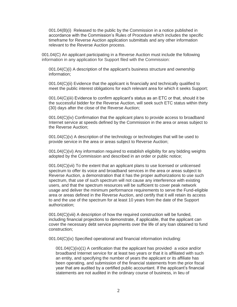001.04(B)(i) Released to the public by the Commission in a notice published in accordance with the Commission's Rules of Procedure which includes the specific timeframe for Reverse Auction application submittals and any other information relevant to the Reverse Auction process.

<span id="page-3-0"></span>001.04(C) An applicant participating in a Reverse Auction must include the following information in any application for Support filed with the Commission:

001.04(C)(i) A description of the applicant's business structure and ownership information;

001.04(C)(ii) Evidence that the applicant is financially and technically qualified to meet the public interest obligations for each relevant area for which it seeks Support;

001.04(C)(iii) Evidence to confirm applicant's status as an ETC or that, should it be the successful bidder for the Reverse Auction, will seek such ETC status within thirty (30) days after the close of the Reverse Auction;

001.04(C)(iv) Confirmation that the applicant plans to provide access to broadband Internet service at speeds defined by the Commission in the area or areas subject to the Reverse Auction;

 $001.04(C)(v)$  A description of the technology or technologies that will be used to provide service in the area or areas subject to Reverse Auction;

001.04(C)(vi) Any information required to establish eligibility for any bidding weights adopted by the Commission and described in an order or public notice;

001.04(C)(vii) To the extent that an applicant plans to use licensed or unlicensed spectrum to offer its voice and broadband services in the area or areas subject to Reverse Auction, a demonstration that it has the proper authorizations to use such spectrum, that use of such spectrum will not cause any interference with existing users, and that the spectrum resources will be sufficient to cover peak network usage and deliver the minimum performance requirements to serve the Fund-eligible area or areas defined in the Reverse Auction, and certify that it will retain its access to and the use of the spectrum for at least 10 years from the date of the Support authorization;

001.04(C)(viii) A description of how the required construction will be funded, including financial projections to demonstrate, if applicable, that the applicant can cover the necessary debt service payments over the life of any loan obtained to fund construction;

001.04(C)(ix) Specified operational and financial information including:

001.04(C)(ix)(1) A certification that the applicant has provided· a voice and/or broadband Internet service for at least two years or that it is affiliated with such an entity, and specifying the number of years the applicant or its affiliate has been operating, and submission of the financial statements from the prior fiscal year that are audited by a certified public accountant. If the applicant's financial statements are not audited in the ordinary course of business, in lieu of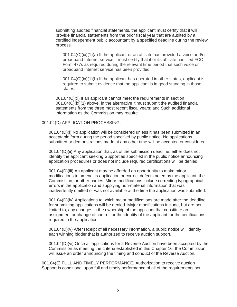submitting audited financial statements, the applicant must certify that it will provide financial statements from the prior fiscal year that are audited by a certified independent public accountant by a specified deadline during the review process.

 $001.04(C)(ix)(1)(a)$  If the applicant or an affiliate has provided a voice and/or broadband Internet service it must certify that it or its affiliate has filed FCC Form 477s as required during the relevant time period that such voice or broadband Internet service has been provided.

001.04(C)(ix)(1)(b) If the applicant has operated in other states, applicant is required to submit evidence that the applicant is in good standing in those states.

001.04(C)(x) If an applicant cannot meet the requirements in section  $001.04(C)(ix)(1)$  above, in the alternative it must submit the audited financial statements from the three most recent fiscal years; and Such additional information as the Commission may require.

#### <span id="page-4-0"></span>001.04(D) APPLICATION PROCESSING.

001.04(D)(i) No application will be considered unless it has been submitted in an acceptable form during the period specified by public notice. No applications submitted or demonstrations made at any other time will be accepted or considered.

001.04(D)(ii) Any application that, as of the submission deadline, either does not identify the applicant seeking Support as specified in the public notice announcing application procedures or does not include required certifications will be denied.

001.04(D)(iii) An applicant may be afforded an opportunity to make minor modifications to amend its application or correct defects noted by the applicant, the Commission, or other parties. Minor modifications include correcting typographical errors in the application and supplying non-material information that was inadvertently omitted or was not available at the time the application was submitted.

001.04(D)(iv) Applications to which major modifications are made after the deadline for submitting applications will be denied. Major modifications include, but are not limited to, any changes in the ownership of the applicant that constitute an assignment or change of control, or the identity of the applicant, or the certifications required in the application.

001.04(D)(v) After receipt of all necessary information, a public notice will identify each winning bidder that is authorized to receive auction support.

001.04(D)(vi) Once all applications for a Reverse Auction have been accepted by the Commission as meeting the criteria established in this Chapter 16, the Commission will issue an order announcing the timing and conduct of the Reverse Auction.

<span id="page-4-1"></span>001.04(E) FULL AND TIMELY PERFORMANCE. Authorization to receive auction Support is conditional upon full and timely performance of all of the requirements set